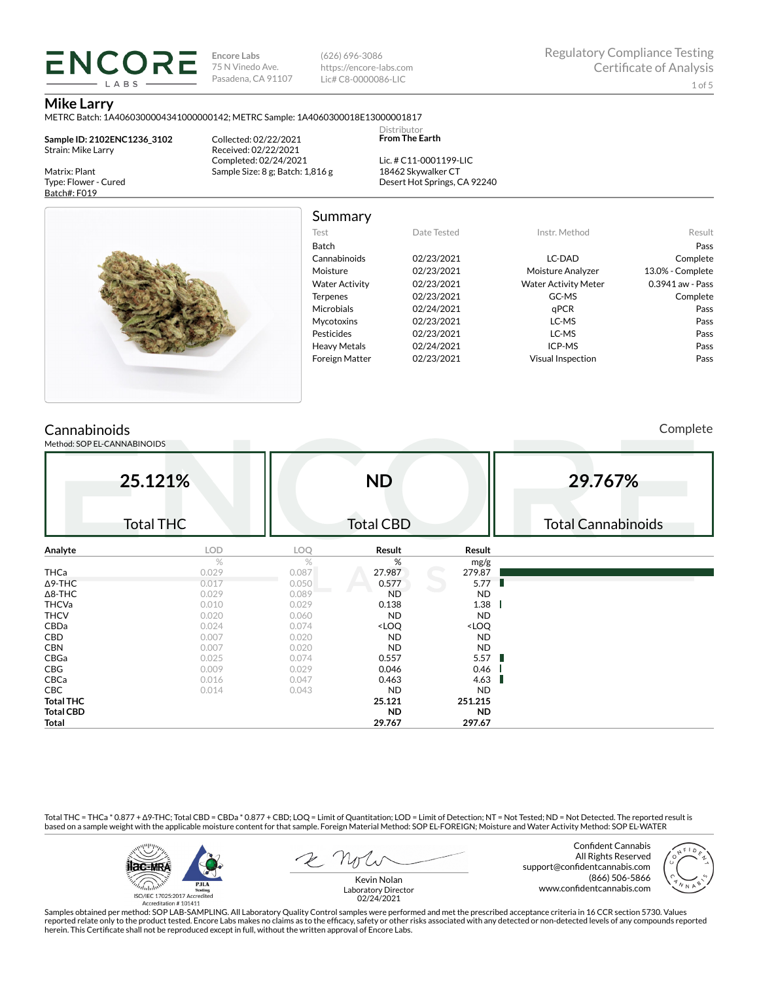**Encore Labs** 75 N Vinedo Ave. Pasadena, CA 91107 (626) 696-3086 https://encore-labs.com Lic# C8-0000086-LIC

> Distributor **From The Earth**

#### **Mike Larry**

METRC Batch: 1A4060300004341000000142; METRC Sample: 1A4060300018E13000001817

**Sample ID: 2102ENC1236\_3102** Strain: Mike Larry

ENCORE LABS

Matrix: Plant Type: Flower - Cured Batch#: F019

Collected: 02/22/2021 Received: 02/22/2021 Completed: 02/24/2021 Sample Size: 8 g; Batch: 1,816 g

Lic. # C11-0001199-LIC 18462 Skywalker CT Desert Hot Springs, CA 92240



Summary

| Test                  | Date Tested | Instr. Method               | Result           |
|-----------------------|-------------|-----------------------------|------------------|
| <b>Batch</b>          |             |                             | Pass             |
| Cannabinoids          | 02/23/2021  | LC-DAD                      | Complete         |
| Moisture              | 02/23/2021  | Moisture Analyzer           | 13.0% - Complete |
| <b>Water Activity</b> | 02/23/2021  | <b>Water Activity Meter</b> | 0.3941 aw - Pass |
| <b>Terpenes</b>       | 02/23/2021  | GC-MS                       | Complete         |
| <b>Microbials</b>     | 02/24/2021  | qPCR                        | Pass             |
| <b>Mycotoxins</b>     | 02/23/2021  | LC-MS                       | Pass             |
| Pesticides            | 02/23/2021  | LC-MS                       | Pass             |
| <b>Heavy Metals</b>   | 02/24/2021  | ICP-MS                      | Pass             |
| <b>Foreign Matter</b> | 02/23/2021  | Visual Inspection           | Pass             |
|                       |             |                             |                  |

## **Cannabinoids**

Method: SOP EL-CANNABINOIDS

Complete

| 25.121%          |                  | <b>ND</b>  |                                                          |                              | 29.767%                   |  |  |
|------------------|------------------|------------|----------------------------------------------------------|------------------------------|---------------------------|--|--|
|                  | <b>Total THC</b> |            | <b>Total CBD</b>                                         |                              | <b>Total Cannabinoids</b> |  |  |
| Analyte          | LOD              | <b>LOQ</b> | Result                                                   | Result                       |                           |  |  |
|                  | $\%$             | $\%$       | %                                                        | mg/g                         |                           |  |  |
| THCa             | 0.029            | 0.087      | 27.987                                                   | 279.87                       |                           |  |  |
| $\Delta$ 9-THC   | 0.017            | 0.050      | 0.577                                                    | 5.77<br>ı.                   |                           |  |  |
| $\Delta$ 8-THC   | 0.029            | 0.089      | <b>ND</b>                                                | <b>ND</b>                    |                           |  |  |
| <b>THCVa</b>     | 0.010            | 0.029      | 0.138                                                    | 1.38                         |                           |  |  |
| <b>THCV</b>      | 0.020            | 0.060      | <b>ND</b>                                                | <b>ND</b>                    |                           |  |  |
| CBDa             | 0.024            | 0.074      | <loq< td=""><td><loq< td=""><td></td></loq<></td></loq<> | <loq< td=""><td></td></loq<> |                           |  |  |
| CBD              | 0.007            | 0.020      | <b>ND</b>                                                | <b>ND</b>                    |                           |  |  |
| <b>CBN</b>       | 0.007            | 0.020      | <b>ND</b>                                                | <b>ND</b>                    |                           |  |  |
| CBGa             | 0.025            | 0.074      | 0.557                                                    | 5.57                         |                           |  |  |
| CBG              | 0.009            | 0.029      | 0.046                                                    | 0.46                         |                           |  |  |
| CBCa             | 0.016            | 0.047      | 0.463                                                    | 4.63                         |                           |  |  |
| <b>CBC</b>       | 0.014            | 0.043      | <b>ND</b>                                                | <b>ND</b>                    |                           |  |  |
| <b>Total THC</b> |                  |            | 25.121                                                   | 251.215                      |                           |  |  |
| <b>Total CBD</b> |                  |            | <b>ND</b>                                                | <b>ND</b>                    |                           |  |  |
| Total            |                  |            | 29.767                                                   | 297.67                       |                           |  |  |

Total THC = THCa \* 0.877 + ∆9-THC; Total CBD = CBDa \* 0.877 + CBD; LOQ = Limit of Quantitation; LOD = Limit of Detection; NT = Not Tested; ND = Not Detected. The reported result is based on a sample weight with the applicable moisture content for that sample. Foreign Material Method: SOP EL-FOREIGN; Moisture and Water Activity Method: SOP EL-WATER



Confident Cannabis All Rights Reserved support@confidentcannabis.com (866) 506-5866 www.confidentcannabis.com



Kevin Nolan Laboratory Director 02/24/2021

Samples obtained per method: SOP LAB-SAMPLING. All Laboratory Quality Control samples were performed and met the prescribed acceptance criteria in 16 CCR section 5730. Values reported relate only to the product tested. Encore Labs makes no claims as to the efficacy, safety or other risks associated with any detected or non-detected levels of any compounds reported<br>herein. This Certificate shall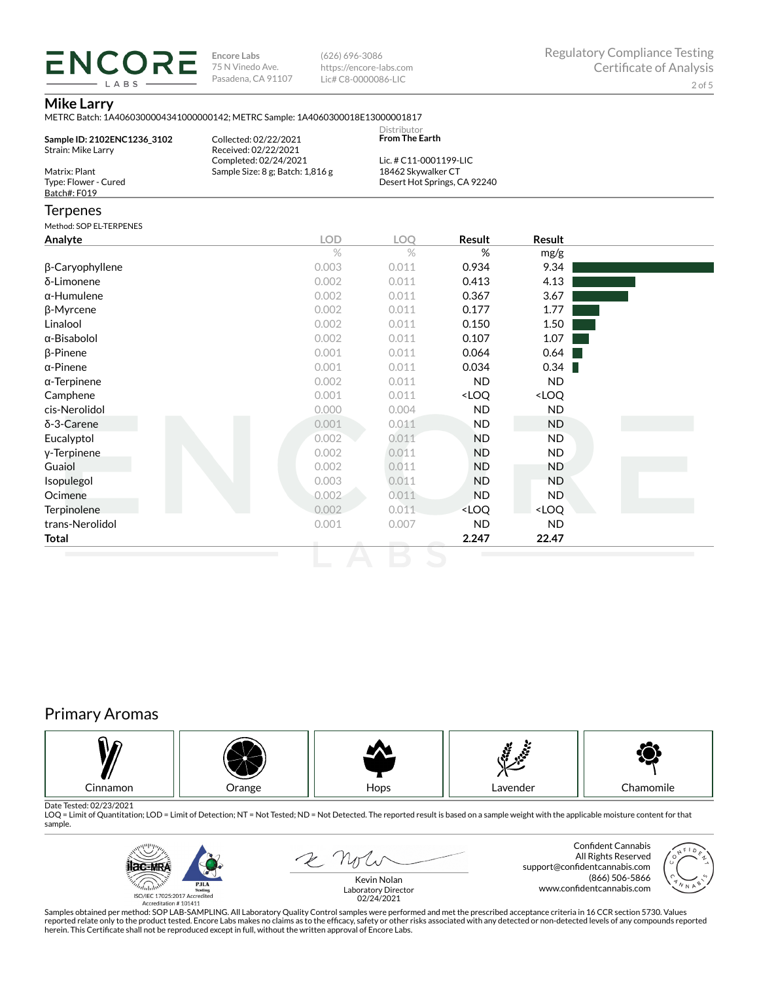**ENCORE Encore Labs** 75 N Vinedo Ave. Pasadena, CA 91107

(626) 696-3086 https://encore-labs.com Lic# C8-0000086-LIC

### **Mike Larry**

LABS

|                                                   | METRC Batch: 1A4060300004341000000142; METRC Sample: 1A4060300018E13000001817 |                                              |                                                          |                              |  |
|---------------------------------------------------|-------------------------------------------------------------------------------|----------------------------------------------|----------------------------------------------------------|------------------------------|--|
| Sample ID: 2102ENC1236 3102<br>Strain: Mike Larry | Collected: 02/22/2021<br>Received: 02/22/2021                                 | Distributor<br>From The Earth                |                                                          |                              |  |
| Matrix: Plant                                     | Completed: 02/24/2021<br>Sample Size: 8 g; Batch: 1,816 g                     | Lic. # C11-0001199-LIC<br>18462 Skywalker CT |                                                          |                              |  |
| Type: Flower - Cured<br>Batch#: F019              |                                                                               |                                              | Desert Hot Springs, CA 92240                             |                              |  |
|                                                   |                                                                               |                                              |                                                          |                              |  |
| Terpenes                                          |                                                                               |                                              |                                                          |                              |  |
| Method: SOP EL-TERPENES                           |                                                                               |                                              |                                                          |                              |  |
| Analyte                                           | <b>LOD</b>                                                                    | LOQ                                          | Result                                                   | Result                       |  |
|                                                   | $\%$                                                                          | $\%$                                         | $\%$                                                     | mg/g                         |  |
| β-Caryophyllene                                   | 0.003                                                                         | 0.011                                        | 0.934                                                    | 9.34                         |  |
| δ-Limonene                                        | 0.002                                                                         | 0.011                                        | 0.413                                                    | 4.13                         |  |
| α-Humulene                                        | 0.002                                                                         | 0.011                                        | 0.367                                                    | 3.67                         |  |
| β-Myrcene                                         | 0.002                                                                         | 0.011                                        | 0.177                                                    | 1.77                         |  |
| Linalool                                          | 0.002                                                                         | 0.011                                        | 0.150                                                    | 1.50                         |  |
| α-Bisabolol                                       | 0.002                                                                         | 0.011                                        | 0.107                                                    | 1.07                         |  |
| β-Pinene                                          | 0.001                                                                         | 0.011                                        | 0.064                                                    | 0.64                         |  |
| α-Pinene                                          | 0.001                                                                         | 0.011                                        | 0.034                                                    | 0.34                         |  |
| α-Terpinene                                       | 0.002                                                                         | 0.011                                        | <b>ND</b>                                                | <b>ND</b>                    |  |
| Camphene                                          | 0.001                                                                         | 0.011                                        | <loq< td=""><td><loq< td=""><td></td></loq<></td></loq<> | <loq< td=""><td></td></loq<> |  |
| cis-Nerolidol                                     | 0.000                                                                         | 0.004                                        | <b>ND</b>                                                | <b>ND</b>                    |  |
| $δ-3$ -Carene                                     | 0.001                                                                         | 0.011                                        | <b>ND</b>                                                | <b>ND</b>                    |  |
| Eucalyptol                                        | 0.002                                                                         | 0.011                                        | <b>ND</b>                                                | <b>ND</b>                    |  |
| y-Terpinene                                       | 0.002                                                                         | 0.011                                        | <b>ND</b>                                                | <b>ND</b>                    |  |
| Guaiol                                            | 0.002                                                                         | 0.011                                        | <b>ND</b>                                                | <b>ND</b>                    |  |
| Isopulegol                                        | 0.003                                                                         | 0.011                                        | <b>ND</b>                                                | <b>ND</b>                    |  |
| Ocimene                                           | 0.002                                                                         | 0.011                                        | <b>ND</b>                                                | <b>ND</b>                    |  |
| <b>Terpinolene</b>                                | 0.002                                                                         | 0.011                                        | <loq< td=""><td><loq< td=""><td></td></loq<></td></loq<> | <loq< td=""><td></td></loq<> |  |
| trans-Nerolidol                                   | 0.001                                                                         | 0.007                                        | <b>ND</b>                                                | <b>ND</b>                    |  |
| Total                                             |                                                                               |                                              | 2.247                                                    | 22.47                        |  |
|                                                   |                                                                               |                                              |                                                          |                              |  |

# Primary Aromas



Date Tested: 02/23/2021<br>LOQ = Limit of Quantitation; LOD = Limit of Detection; NT = Not Tested; ND = Not Detected. The reported result is based on a sample weight with the applicable moisture content for that sample.



2 Not

Confident Cannabis All Rights Reserved support@confidentcannabis.com (866) 506-5866 www.confidentcannabis.com



Kevin Nolan Laboratory Director 02/24/2021

Samples obtained per method: SOP LAB-SAMPLING. All Laboratory Quality Control samples were performed and met the prescribed acceptance criteria in 16 CCR section 5730. Values reported relate only to the product tested. Encore Labs makes no claims as to the efficacy, safety or other risks associated with any detected or non-detected levels of any compounds reported<br>herein. This Certificate shall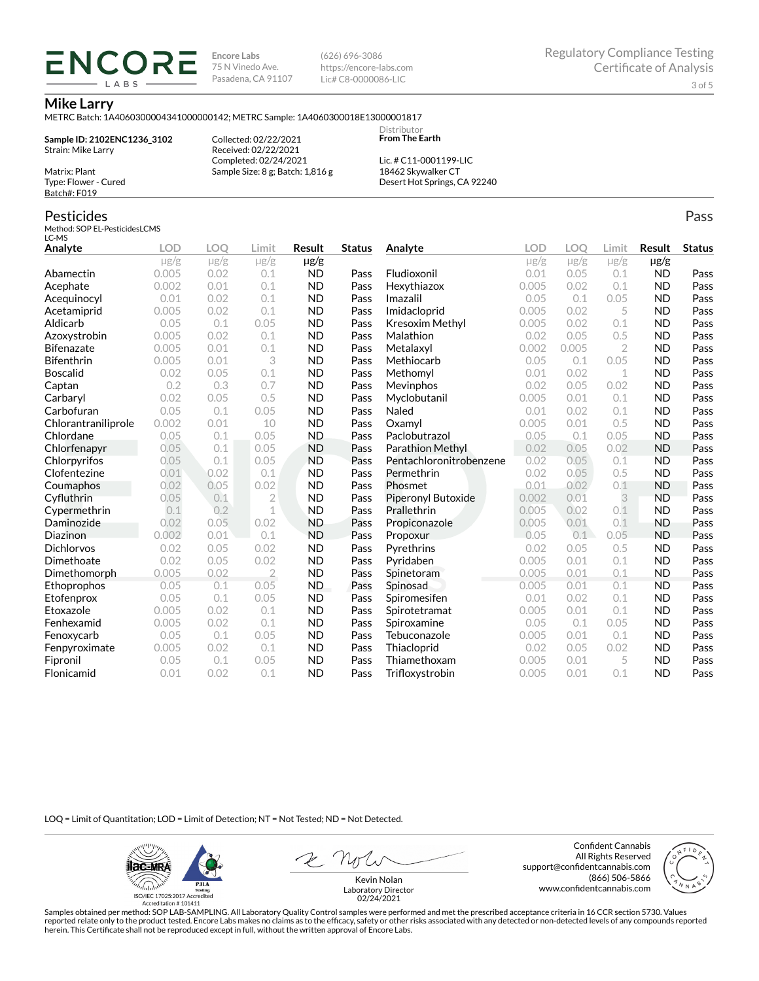**Encore Labs** 75 N Vinedo Ave. Pasadena, CA 91107 (626) 696-3086 https://encore-labs.com Lic# C8-0000086-LIC

#### **Mike Larry**

METRC Batch: 1A4060300004341000000142; METRC Sample: 1A4060300018E13000001817

**Sample ID: 2102ENC1236\_3102** Strain: Mike Larry Matrix: Plant

ENCOR LABS

> Collected: 02/22/2021 Received: 02/22/2021 Completed: 02/24/2021 Sample Size: 8 g; Batch: 1,816 g

Lic. # C11-0001199-LIC 18462 Skywalker CT Desert Hot Springs, CA 92240

Distributor **From The Earth**

### Pesticides

Type: Flower - Cured Batch#: F019

Method: SOP EL-PesticidesLCMS LC-MS

| Analyte             | <b>LOD</b> | <b>LOO</b> | Limit          | Result    | <b>Status</b> | Analyte                 | <b>LOD</b> | LOQ       | Limit          | Result    | <b>Status</b> |
|---------------------|------------|------------|----------------|-----------|---------------|-------------------------|------------|-----------|----------------|-----------|---------------|
|                     | $\mu$ g/g  | $\mu$ g/g  | $\mu$ g/g      | µg/g      |               |                         | $\mu$ g/g  | $\mu$ g/g | $\mu$ g/g      | $\mu$ g/g |               |
| Abamectin           | 0.005      | 0.02       | 0.1            | <b>ND</b> | Pass          | Fludioxonil             | 0.01       | 0.05      | 0.1            | <b>ND</b> | Pass          |
| Acephate            | 0.002      | 0.01       | 0.1            | <b>ND</b> | Pass          | Hexythiazox             | 0.005      | 0.02      | 0.1            | <b>ND</b> | Pass          |
| Acequinocyl         | 0.01       | 0.02       | 0.1            | <b>ND</b> | Pass          | Imazalil                | 0.05       | 0.1       | 0.05           | <b>ND</b> | Pass          |
| Acetamiprid         | 0.005      | 0.02       | 0.1            | <b>ND</b> | Pass          | Imidacloprid            | 0.005      | 0.02      | 5              | <b>ND</b> | Pass          |
| Aldicarb            | 0.05       | 0.1        | 0.05           | <b>ND</b> | Pass          | <b>Kresoxim Methyl</b>  | 0.005      | 0.02      | 0.1            | <b>ND</b> | Pass          |
| Azoxystrobin        | 0.005      | 0.02       | 0.1            | <b>ND</b> | Pass          | Malathion               | 0.02       | 0.05      | 0.5            | <b>ND</b> | Pass          |
| <b>Bifenazate</b>   | 0.005      | 0.01       | 0.1            | <b>ND</b> | Pass          | Metalaxyl               | 0.002      | 0.005     | $\overline{2}$ | <b>ND</b> | Pass          |
| <b>Bifenthrin</b>   | 0.005      | 0.01       | 3              | <b>ND</b> | Pass          | Methiocarb              | 0.05       | 0.1       | 0.05           | <b>ND</b> | Pass          |
| <b>Boscalid</b>     | 0.02       | 0.05       | 0.1            | <b>ND</b> | Pass          | Methomyl                | 0.01       | 0.02      | 1              | <b>ND</b> | Pass          |
| Captan              | 0.2        | 0.3        | 0.7            | <b>ND</b> | Pass          | Mevinphos               | 0.02       | 0.05      | 0.02           | <b>ND</b> | Pass          |
| Carbaryl            | 0.02       | 0.05       | 0.5            | <b>ND</b> | Pass          | Myclobutanil            | 0.005      | 0.01      | 0.1            | <b>ND</b> | Pass          |
| Carbofuran          | 0.05       | 0.1        | 0.05           | <b>ND</b> | Pass          | Naled                   | 0.01       | 0.02      | 0.1            | <b>ND</b> | Pass          |
| Chlorantraniliprole | 0.002      | 0.01       | 10             | <b>ND</b> | Pass          | Oxamyl                  | 0.005      | 0.01      | 0.5            | <b>ND</b> | Pass          |
| Chlordane           | 0.05       | 0.1        | 0.05           | <b>ND</b> | Pass          | Paclobutrazol           | 0.05       | 0.1       | 0.05           | <b>ND</b> | Pass          |
| Chlorfenapyr        | 0.05       | 0.1        | 0.05           | <b>ND</b> | Pass          | <b>Parathion Methyl</b> | 0.02       | 0.05      | 0.02           | <b>ND</b> | Pass          |
| Chlorpyrifos        | 0.05       | 0.1        | 0.05           | <b>ND</b> | Pass          | Pentachloronitrobenzene | 0.02       | 0.05      | 0.1            | <b>ND</b> | Pass          |
| Clofentezine        | 0.01       | 0.02       | 0.1            | <b>ND</b> | Pass          | Permethrin              | 0.02       | 0.05      | 0.5            | <b>ND</b> | Pass          |
| Coumaphos           | 0.02       | 0.05       | 0.02           | <b>ND</b> | Pass          | Phosmet                 | 0.01       | 0.02      | 0.1            | <b>ND</b> | Pass          |
| Cyfluthrin          | 0.05       | 0.1        | $\overline{2}$ | <b>ND</b> | Pass          | Piperonyl Butoxide      | 0.002      | 0.01      | 3              | <b>ND</b> | Pass          |
| Cypermethrin        | 0.1        | 0.2        | 1              | <b>ND</b> | Pass          | Prallethrin             | 0.005      | 0.02      | 0.1            | <b>ND</b> | Pass          |
| Daminozide          | 0.02       | 0.05       | 0.02           | <b>ND</b> | Pass          | Propiconazole           | 0.005      | 0.01      | 0.1            | <b>ND</b> | Pass          |
| Diazinon            | 0.002      | 0.01       | 0.1            | <b>ND</b> | Pass          | Propoxur                | 0.05       | 0.1       | 0.05           | <b>ND</b> | Pass          |
| <b>Dichlorvos</b>   | 0.02       | 0.05       | 0.02           | <b>ND</b> | Pass          | Pyrethrins              | 0.02       | 0.05      | 0.5            | <b>ND</b> | Pass          |
| Dimethoate          | 0.02       | 0.05       | 0.02           | <b>ND</b> | Pass          | Pyridaben               | 0.005      | 0.01      | 0.1            | <b>ND</b> | Pass          |
| Dimethomorph        | 0.005      | 0.02       | $\overline{2}$ | <b>ND</b> | Pass          | Spinetoram              | 0.005      | 0.01      | 0.1            | <b>ND</b> | Pass          |
| Ethoprophos         | 0.05       | 0.1        | 0.05           | ND.       | Pass          | Spinosad                | 0.005      | 0.01      | 0.1            | <b>ND</b> | Pass          |
| Etofenprox          | 0.05       | 0.1        | 0.05           | <b>ND</b> | Pass          | Spiromesifen            | 0.01       | 0.02      | 0.1            | <b>ND</b> | Pass          |
| Etoxazole           | 0.005      | 0.02       | 0.1            | <b>ND</b> | Pass          | Spirotetramat           | 0.005      | 0.01      | 0.1            | <b>ND</b> | Pass          |
| Fenhexamid          | 0.005      | 0.02       | 0.1            | <b>ND</b> | Pass          | Spiroxamine             | 0.05       | 0.1       | 0.05           | <b>ND</b> | Pass          |
| Fenoxycarb          | 0.05       | 0.1        | 0.05           | <b>ND</b> | Pass          | Tebuconazole            | 0.005      | 0.01      | 0.1            | <b>ND</b> | Pass          |
| Fenpyroximate       | 0.005      | 0.02       | 0.1            | <b>ND</b> | Pass          | Thiacloprid             | 0.02       | 0.05      | 0.02           | <b>ND</b> | Pass          |
| Fipronil            | 0.05       | 0.1        | 0.05           | <b>ND</b> | Pass          | Thiamethoxam            | 0.005      | 0.01      | 5              | <b>ND</b> | Pass          |
| Flonicamid          | 0.01       | 0.02       | 0.1            | <b>ND</b> | Pass          | Trifloxystrobin         | 0.005      | 0.01      | 0.1            | <b>ND</b> | Pass          |

LOQ = Limit of Quantitation; LOD = Limit of Detection; NT = Not Tested; ND = Not Detected.

**ilac-MRA PJLA**  $d_{\rm thbb}$ ISO/IEC 17025:2017 Ac

Accreditation #101411

Confident Cannabis All Rights Reserved support@confidentcannabis.com (866) 506-5866 www.confidentcannabis.com



Kevin Nolan Laboratory Director 02/24/2021

Samples obtained per method: SOP LAB-SAMPLING. All Laboratory Quality Control samples were performed and met the prescribed acceptance criteria in 16 CCR section 5730. Values reported relate only to the product tested. Encore Labs makes no claims as to the efficacy, safety or other risks associated with any detected or non-detected levels of any compounds reported<br>herein. This Certificate shall

Pass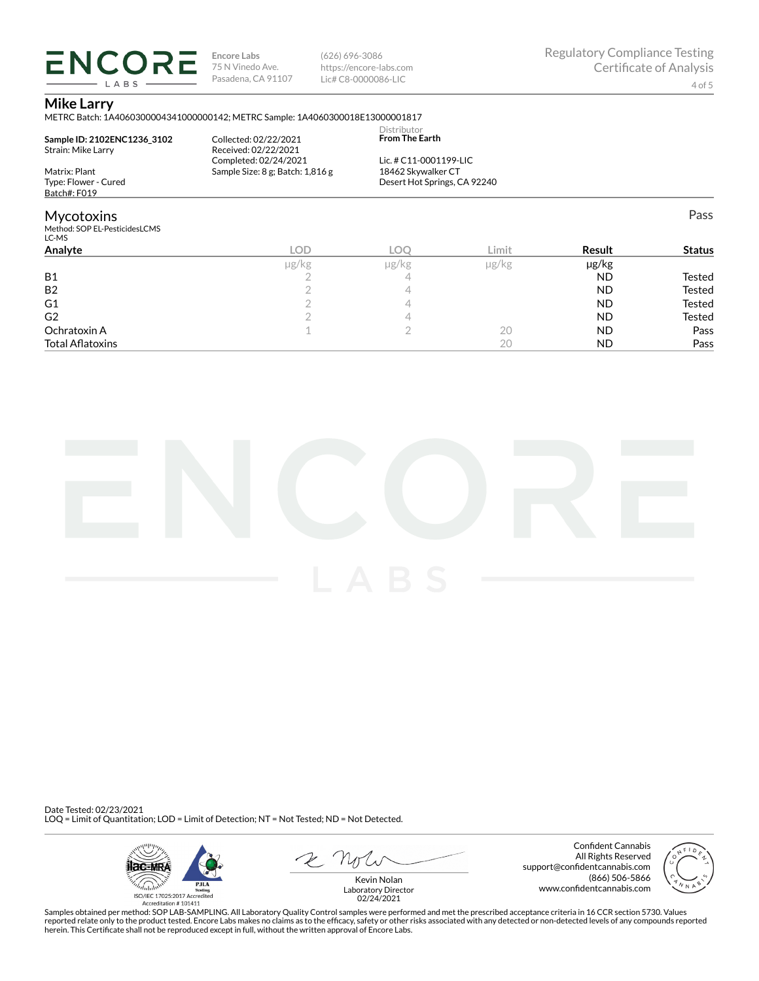**ENCORE Encore Labs** 75 N Vinedo Ave. Pasadena, CA 91107 (626) 696-3086 https://encore-labs.com Lic# C8-0000086-LIC

#### **Mike Larry**

LABS

METRC Batch: 1A4060300004341000000142; METRC Sample: 1A4060300018E13000001817

| Sample ID: 2102ENC1236 3102<br>Strain: Mike Larry | Collected: 02/22/2021<br>Received: 02/22/2021             | Distributor<br><b>From The Earth</b>               |       |               |               |
|---------------------------------------------------|-----------------------------------------------------------|----------------------------------------------------|-------|---------------|---------------|
| Matrix: Plant                                     | Completed: 02/24/2021<br>Sample Size: 8 g; Batch: 1,816 g | Lic. # C11-0001199-LIC                             |       |               |               |
| Type: Flower - Cured                              |                                                           | 18462 Skywalker CT<br>Desert Hot Springs, CA 92240 |       |               |               |
| Batch#: F019                                      |                                                           |                                                    |       |               |               |
| <b>Mycotoxins</b>                                 |                                                           |                                                    |       |               | Pass          |
| Method: SOP EL-PesticidesLCMS<br>LC-MS            |                                                           |                                                    |       |               |               |
| Analyte                                           | LOD                                                       | LOO                                                | Limit | <b>Result</b> | <b>Status</b> |

| ᄕ     | LUY   | LIIIIL     | Result    | <b>Judius</b> |
|-------|-------|------------|-----------|---------------|
| µg/kg | µg/kg | $\mu$ g/kg | µg/kg     |               |
|       |       |            | <b>ND</b> | Tested        |
|       |       |            | <b>ND</b> | <b>Tested</b> |
|       |       |            | <b>ND</b> | <b>Tested</b> |
|       |       |            | <b>ND</b> | <b>Tested</b> |
|       |       | 20         | <b>ND</b> | Pass          |
|       |       | 20         | <b>ND</b> | Pass          |
|       |       |            |           |               |



Date Tested: 02/23/2021 LOQ = Limit of Quantitation; LOD = Limit of Detection; NT = Not Tested; ND = Not Detected.



Confident Cannabis All Rights Reserved support@confidentcannabis.com (866) 506-5866 www.confidentcannabis.com



Kevin Nolan Laboratory Director 02/24/2021

Samples obtained per method: SOP LAB-SAMPLING. All Laboratory Quality Control samples were performed and met the prescribed acceptance criteria in 16 CCR section 5730. Values reported relate only to the product tested. Encore Labs makes no claims as to the efficacy, safety or other risks associated with any detected or non-detected levels of any compounds reported<br>herein. This Certificate shall